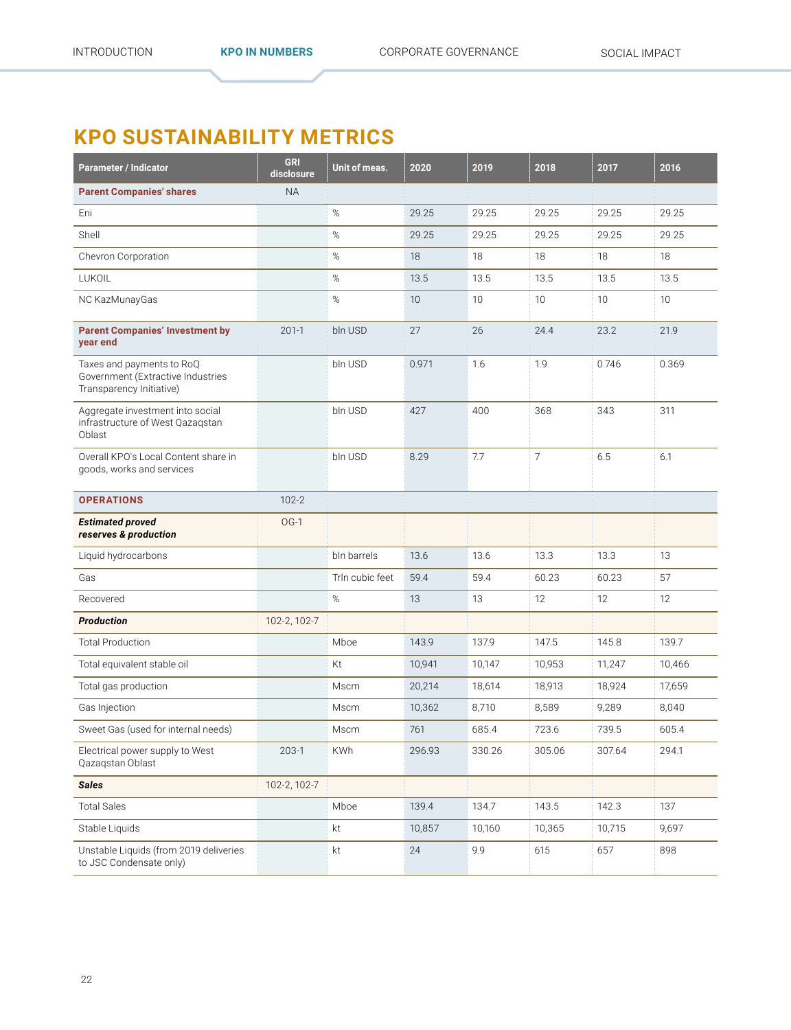## **KPO SUSTAINABILITY METRICS**

| <b>Parameter / Indicator</b>                                                               | <b>GRI</b><br>disclosure | Unit of meas.   | 2020   | 2019   | 2018           | 2017   | 2016   |
|--------------------------------------------------------------------------------------------|--------------------------|-----------------|--------|--------|----------------|--------|--------|
| <b>Parent Companies' shares</b>                                                            | <b>NA</b>                |                 |        |        |                |        |        |
| Eni                                                                                        |                          | $\%$            | 29.25  | 29.25  | 29.25          | 29.25  | 29.25  |
| Shell                                                                                      |                          | %               | 29.25  | 29.25  | 29.25          | 29.25  | 29.25  |
| Chevron Corporation                                                                        |                          | $\%$            | 18     | 18     | 18             | 18     | 18     |
| LUKOIL                                                                                     |                          | $\%$            | 13.5   | 13.5   | 13.5           | 13.5   | 13.5   |
| NC KazMunayGas                                                                             |                          | $\%$            | 10     | 10     | 10             | 10     | 10     |
| <b>Parent Companies' Investment by</b><br>year end                                         | $201 - 1$                | bln USD         | 27     | 26     | 24.4           | 23.2   | 21.9   |
| Taxes and payments to RoQ<br>Government (Extractive Industries<br>Transparency Initiative) |                          | bln USD         | 0.971  | 1.6    | 1.9            | 0.746  | 0.369  |
| Aggregate investment into social<br>infrastructure of West Qazagstan<br>Oblast             |                          | bln USD         | 427    | 400    | 368            | 343    | 311    |
| Overall KPO's Local Content share in<br>goods, works and services                          |                          | bln USD         | 8.29   | 7.7    | $\overline{7}$ | 6.5    | 6.1    |
| <b>OPERATIONS</b>                                                                          | $102 - 2$                |                 |        |        |                |        |        |
| <b>Estimated proved</b><br>reserves & production                                           | $OG-1$                   |                 |        |        |                |        |        |
| Liquid hydrocarbons                                                                        |                          | bln barrels     | 13.6   | 13.6   | 13.3           | 13.3   | 13     |
| Gas                                                                                        |                          | Trln cubic feet | 59.4   | 59.4   | 60.23          | 60.23  | 57     |
| Recovered                                                                                  |                          | %               | 13     | 13     | 12             | 12     | 12     |
| <b>Production</b>                                                                          | 102-2, 102-7             |                 |        |        |                |        |        |
| <b>Total Production</b>                                                                    |                          | Mboe            | 143.9  | 137.9  | 147.5          | 145.8  | 139.7  |
| Total equivalent stable oil                                                                |                          | Kt              | 10,941 | 10,147 | 10,953         | 11,247 | 10,466 |
| Total gas production                                                                       |                          | Mscm            | 20,214 | 18,614 | 18,913         | 18,924 | 17,659 |
| Gas Injection                                                                              |                          | Mscm            | 10,362 | 8,710  | 8,589          | 9,289  | 8,040  |
| Sweet Gas (used for internal needs)                                                        |                          | <b>Mscm</b>     | 761    | 685.4  | 723.6          | 739.5  | 605.4  |
| Electrical power supply to West<br>Qazaqstan Oblast                                        | $203-1$                  | <b>KWh</b>      | 296.93 | 330.26 | 305.06         | 307.64 | 294.1  |
| <b>Sales</b>                                                                               | 102-2, 102-7             |                 |        |        |                |        |        |
| <b>Total Sales</b>                                                                         |                          | Mboe            | 139.4  | 134.7  | 143.5          | 142.3  | 137    |
| Stable Liquids                                                                             |                          | kt              | 10,857 | 10,160 | 10,365         | 10,715 | 9,697  |
| Unstable Liquids (from 2019 deliveries<br>to JSC Condensate only)                          |                          | kt              | 24     | 9.9    | 615            | 657    | 898    |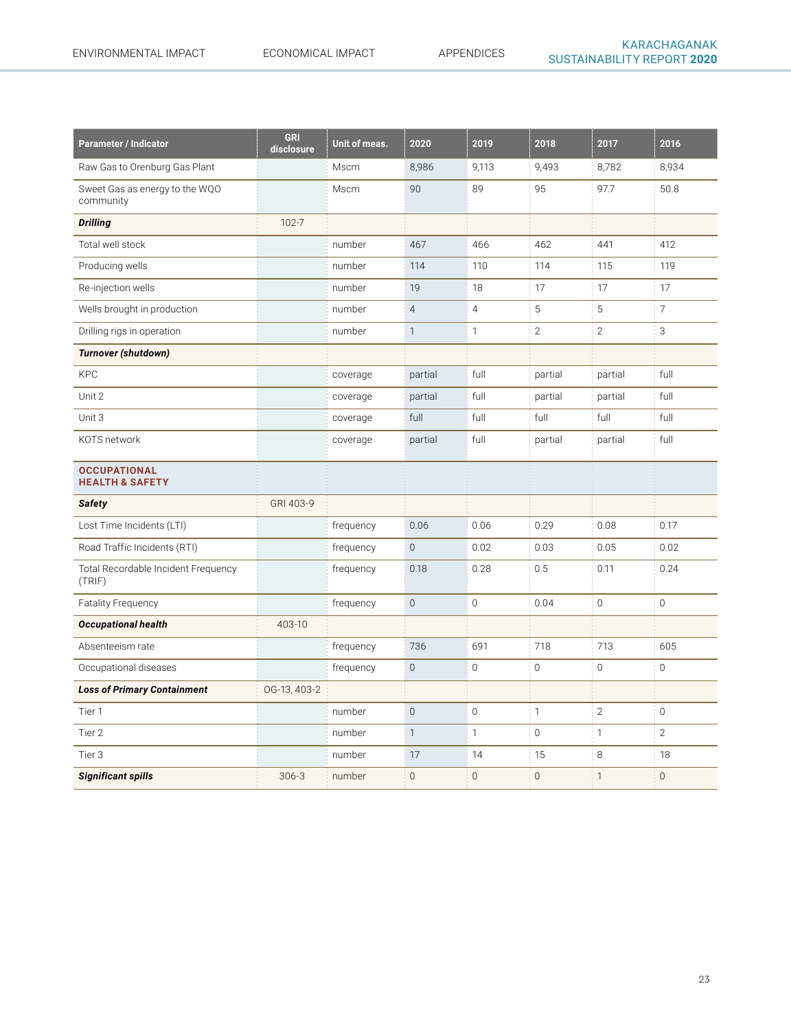| <b>Parameter / Indicator</b>                      | <b>GRI</b><br>disclosure | Unit of meas. | 2020           | 2019           | 2018           | 2017           | 2016           |
|---------------------------------------------------|--------------------------|---------------|----------------|----------------|----------------|----------------|----------------|
| Raw Gas to Orenburg Gas Plant                     |                          | Mscm          | 8,986          | 9,113          | 9,493          | 8,782          | 8,934          |
| Sweet Gas as energy to the WQO<br>community       |                          | Mscm          | 90             | 89             | 95             | 97.7           | 50.8           |
| <b>Drilling</b>                                   | $102 - 7$                |               |                |                |                |                |                |
| Total well stock                                  |                          | number        | 467            | 466            | 462            | 441            | 412            |
| Producing wells                                   |                          | number        | 114            | 110            | 114            | 115            | 119            |
| Re-injection wells                                |                          | number        | 19             | 18             | 17             | 17             | 17             |
| Wells brought in production                       |                          | number        | $\overline{4}$ | $\overline{4}$ | 5              | 5              | $\overline{7}$ |
| Drilling rigs in operation                        |                          | number        | $\mathbf{1}$   | $\mathbf{1}$   | $\overline{2}$ | $\overline{2}$ | 3              |
| <b>Turnover (shutdown)</b>                        |                          |               |                |                |                |                |                |
| <b>KPC</b>                                        |                          | coverage      | partial        | full           | partial        | partial        | full           |
| Unit 2                                            |                          | coverage      | partial        | full           | partial        | partial        | full           |
| Unit 3                                            |                          | coverage      | full           | full           | full           | full           | full           |
| KOTS network                                      |                          | coverage      | partial        | full           | partial        | partial        | full           |
| <b>OCCUPATIONAL</b><br><b>HEALTH &amp; SAFETY</b> |                          |               |                |                |                |                |                |
| <b>Safety</b>                                     | GRI 403-9                |               |                |                |                |                |                |
| Lost Time Incidents (LTI)                         |                          | frequency     | 0.06           | 0.06           | 0.29           | 0.08           | 0.17           |
| Road Traffic Incidents (RTI)                      |                          | frequency     | $\overline{0}$ | 0.02           | 0.03           | 0.05           | 0.02           |
| Total Recordable Incident Frequency<br>(TRIF)     |                          | frequency     | 0.18           | 0.28           | 0.5            | 0.11           | 0.24           |
| <b>Fatality Frequency</b>                         |                          | frequency     | $\overline{0}$ | $\mathbf 0$    | 0.04           | $\mathbf 0$    | $\mathbf 0$    |
| <b>Occupational health</b>                        | 403-10                   |               |                |                |                |                |                |
| Absenteeism rate                                  |                          | frequency     | 736            | 691            | 718            | 713            | 605            |
| Occupational diseases                             |                          | frequency     | $\overline{0}$ | $\overline{0}$ | $\mathbf{0}$   | $\overline{0}$ | $\mathbf{0}$   |
| <b>Loss of Primary Containment</b>                | OG-13, 403-2             |               |                |                |                |                |                |
| Tier 1                                            |                          | number        | $\mathbf{0}$   | $\overline{0}$ | $\mathbf{1}$   | $\overline{2}$ | $\mathbf 0$    |
| Tier 2                                            |                          | number        | $\mathbf{1}$   | $\mathbf{1}$   | $\mathbf 0$    | $\mathbf{1}$   | $\overline{2}$ |
| Tier <sub>3</sub>                                 |                          | number        | 17             | 14             | 15             | 8              | 18             |
| <b>Significant spills</b>                         | $306 - 3$                | number        | $\mathbf 0$    | $\mathbf 0$    | $\mathbf 0$    | $\mathbf{1}$   | $\mathbb O$    |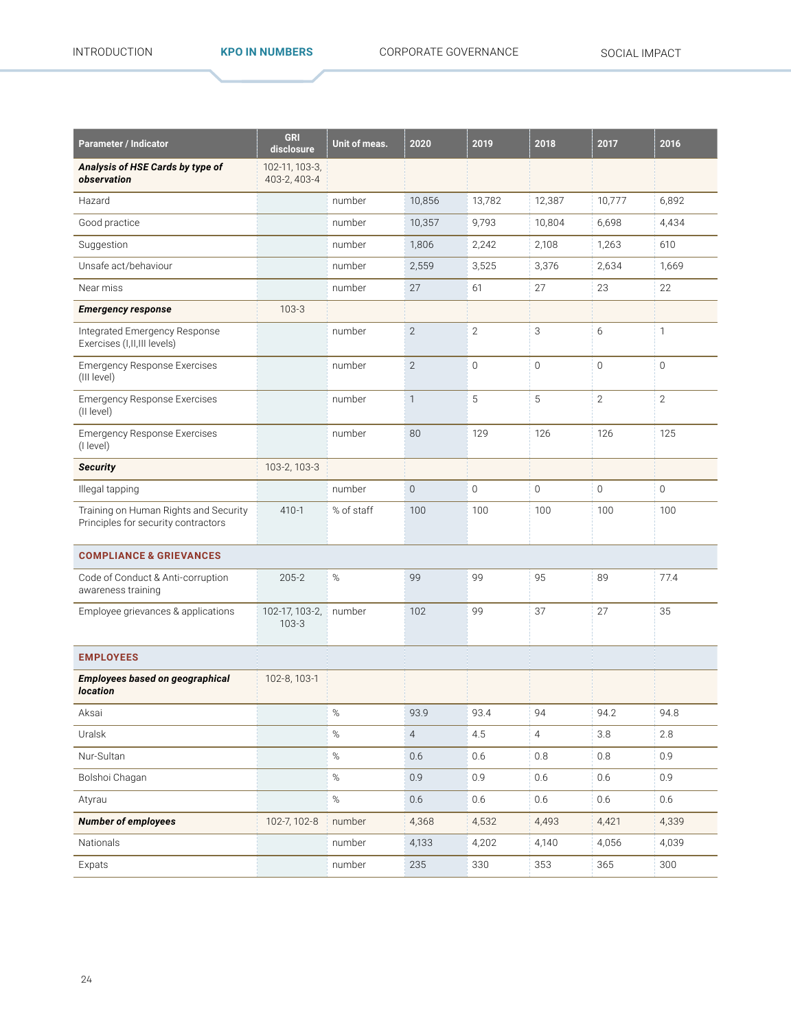| <b>Parameter / Indicator</b>                                                 | <b>GRI</b><br>disclosure       | Unit of meas. | 2020           | 2019           | 2018           | 2017           | 2016           |
|------------------------------------------------------------------------------|--------------------------------|---------------|----------------|----------------|----------------|----------------|----------------|
| Analysis of HSE Cards by type of<br>observation                              | 102-11, 103-3,<br>403-2, 403-4 |               |                |                |                |                |                |
| Hazard                                                                       |                                | number        | 10,856         | 13,782         | 12,387         | 10,777         | 6,892          |
| Good practice                                                                |                                | number        | 10,357         | 9,793          | 10,804         | 6,698          | 4,434          |
| Suggestion                                                                   |                                | number        | 1,806          | 2,242          | 2,108          | 1,263          | 610            |
| Unsafe act/behaviour                                                         |                                | number        | 2,559          | 3,525          | 3,376          | 2,634          | 1,669          |
| Near miss                                                                    |                                | number        | 27             | 61             | 27             | 23             | 22             |
| <b>Emergency response</b>                                                    | $103 - 3$                      |               |                |                |                |                |                |
| Integrated Emergency Response<br>Exercises (I, II, III levels)               |                                | number        | $\overline{2}$ | $\overline{2}$ | 3              | 6              | 1              |
| <b>Emergency Response Exercises</b><br>(III level)                           |                                | number        | $\overline{2}$ | $\overline{0}$ | $\overline{0}$ | $\overline{0}$ | $\mathbf 0$    |
| <b>Emergency Response Exercises</b><br>(II level)                            |                                | number        | $\mathbf{1}$   | 5              | 5              | $\overline{2}$ | $\overline{2}$ |
| <b>Emergency Response Exercises</b><br>(I level)                             |                                | number        | 80             | 129            | 126            | 126            | 125            |
| <b>Security</b>                                                              | 103-2, 103-3                   |               |                |                |                |                |                |
| Illegal tapping                                                              |                                | number        | $\overline{0}$ | $\overline{0}$ | 0              | $\mathbf 0$    | $\mathbf{0}$   |
| Training on Human Rights and Security<br>Principles for security contractors | $410 - 1$                      | % of staff    | 100            | 100            | 100            | 100            | 100            |
| <b>COMPLIANCE &amp; GRIEVANCES</b>                                           |                                |               |                |                |                |                |                |
| Code of Conduct & Anti-corruption<br>awareness training                      | $205 - 2$                      | $\%$          | 99             | 99             | 95             | 89             | 77.4           |
| Employee grievances & applications                                           | 102-17, 103-2,<br>$103-3$      | number        | 102            | 99             | 37             | 27             | 35             |
| <b>EMPLOYEES</b>                                                             |                                |               |                |                |                |                |                |
| Employees based on geographical<br><b>location</b>                           | 102-8, 103-1                   |               |                |                |                |                |                |
| Aksai                                                                        |                                | $\%$          | 93.9           | 93.4           | 94             | 94.2           | 94.8           |
| Uralsk                                                                       |                                | $\%$          | $\overline{4}$ | 4.5            | $\overline{4}$ | 3.8            | 2.8            |
| Nur-Sultan                                                                   |                                | $\%$          | 0.6            | 0.6            | 0.8            | 0.8            | 0.9            |
| Bolshoi Chagan                                                               |                                | $\%$          | 0.9            | 0.9            | 0.6            | 0.6            | 0.9            |
| Atyrau                                                                       |                                | $\%$          | 0.6            | 0.6            | 0.6            | 0.6            | 0.6            |
| <b>Number of employees</b>                                                   | 102-7, 102-8                   | number        | 4,368          | 4,532          | 4,493          | 4,421          | 4,339          |
| Nationals                                                                    |                                | number        | 4,133          | 4,202          | 4,140          | 4,056          | 4,039          |
| Expats                                                                       |                                | number        | 235            | 330            | 353            | 365            | 300            |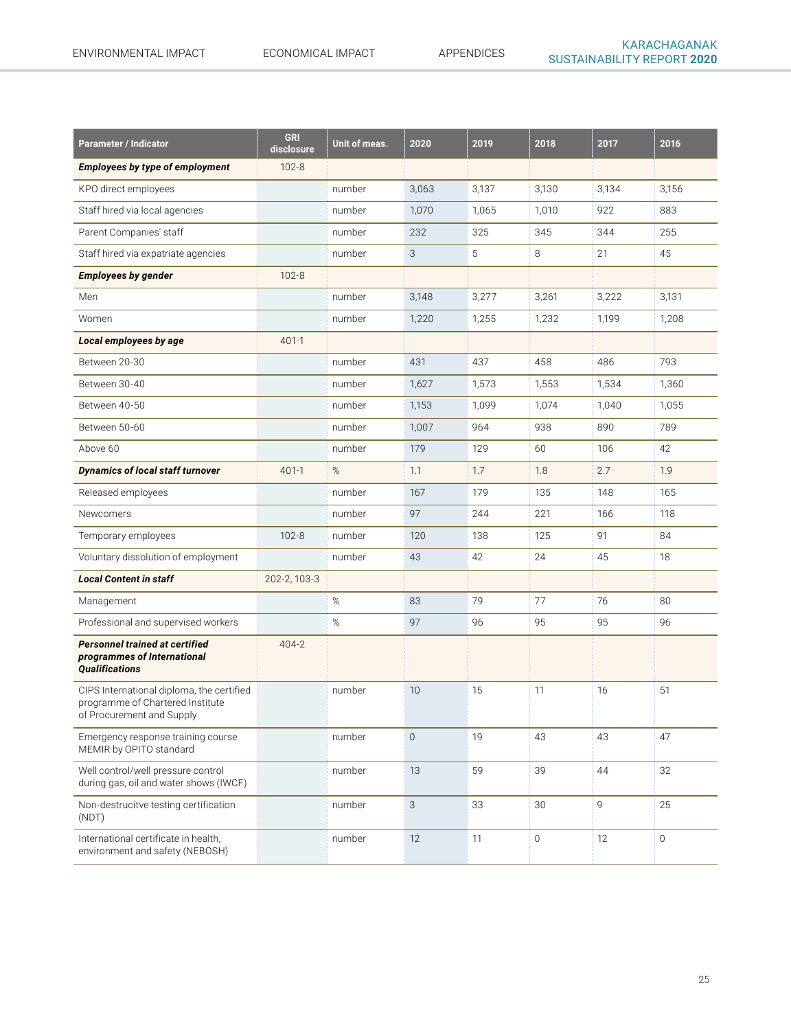| <b>Parameter / Indicator</b>                                                                               | <b>GRI</b><br>disclosure | Unit of meas. | 2020        | 2019  | 2018                | 2017  | 2016                |
|------------------------------------------------------------------------------------------------------------|--------------------------|---------------|-------------|-------|---------------------|-------|---------------------|
| <b>Employees by type of employment</b>                                                                     | $102 - 8$                |               |             |       |                     |       |                     |
| KPO direct employees                                                                                       |                          | number        | 3,063       | 3,137 | 3,130               | 3,134 | 3,156               |
| Staff hired via local agencies                                                                             |                          | number        | 1,070       | 1.065 | 1,010               | 922   | 883                 |
| Parent Companies' staff                                                                                    |                          | number        | 232         | 325   | 345                 | 344   | 255                 |
| Staff hired via expatriate agencies                                                                        |                          | number        | 3           | 5     | 8                   | 21    | 45                  |
| <b>Employees by gender</b>                                                                                 | $102 - 8$                |               |             |       |                     |       |                     |
| Men                                                                                                        |                          | number        | 3,148       | 3,277 | 3,261               | 3,222 | 3,131               |
| Women                                                                                                      |                          | number        | 1,220       | 1,255 | 1,232               | 1,199 | 1,208               |
| Local employees by age                                                                                     | $401 - 1$                |               |             |       |                     |       |                     |
| Between 20-30                                                                                              |                          | number        | 431         | 437   | 458                 | 486   | 793                 |
| Between 30-40                                                                                              |                          | number        | 1,627       | 1,573 | 1,553               | 1,534 | 1,360               |
| Between 40-50                                                                                              |                          | number        | 1,153       | 1,099 | 1,074               | 1,040 | 1,055               |
| Between 50-60                                                                                              |                          | number        | 1,007       | 964   | 938                 | 890   | 789                 |
| Above 60                                                                                                   |                          | number        | 179         | 129   | 60                  | 106   | 42                  |
| <b>Dynamics of local staff turnover</b>                                                                    | $401-1$                  | $\%$          | 1.1         | 1.7   | 1.8                 | 2.7   | 1.9                 |
| Released employees                                                                                         |                          | number        | 167         | 179   | 135                 | 148   | 165                 |
| <b>Newcomers</b>                                                                                           |                          | number        | 97          | 244   | 221                 | 166   | 118                 |
| Temporary employees                                                                                        | $102 - 8$                | number        | 120         | 138   | 125                 | 91    | 84                  |
| Voluntary dissolution of employment                                                                        |                          | number        | 43          | 42    | 24                  | 45    | 18                  |
| <b>Local Content in staff</b>                                                                              | 202-2, 103-3             |               |             |       |                     |       |                     |
| Management                                                                                                 |                          | $\%$          | 83          | 79    | 77                  | 76    | 80                  |
| Professional and supervised workers                                                                        |                          | $\%$          | 97          | 96    | 95                  | 95    | 96                  |
| Personnel trained at certified<br>programmes of International<br><b>Qualifications</b>                     | 404-2                    |               |             |       |                     |       |                     |
| CIPS International diploma, the certified<br>programme of Chartered Institute<br>of Procurement and Supply |                          | number        | 10          | 15    | 11                  | 16    | 51                  |
| Emergency response training course<br>MEMIR by OPITO standard                                              |                          | number        | $\mathbf 0$ | 19    | 43                  | 43    | 47                  |
| Well control/well pressure control<br>during gas, oil and water shows (IWCF)                               |                          | number        | 13          | 59    | 39                  | 44    | 32                  |
| Non-destrucitve testing certification<br>(NDT)                                                             |                          | number        | 3           | 33    | 30                  | 9     | 25                  |
| International certificate in health,<br>environment and safety (NEBOSH)                                    |                          | number        | 12          | 11    | $\mathsf{O}\xspace$ | 12    | $\mathsf{O}\xspace$ |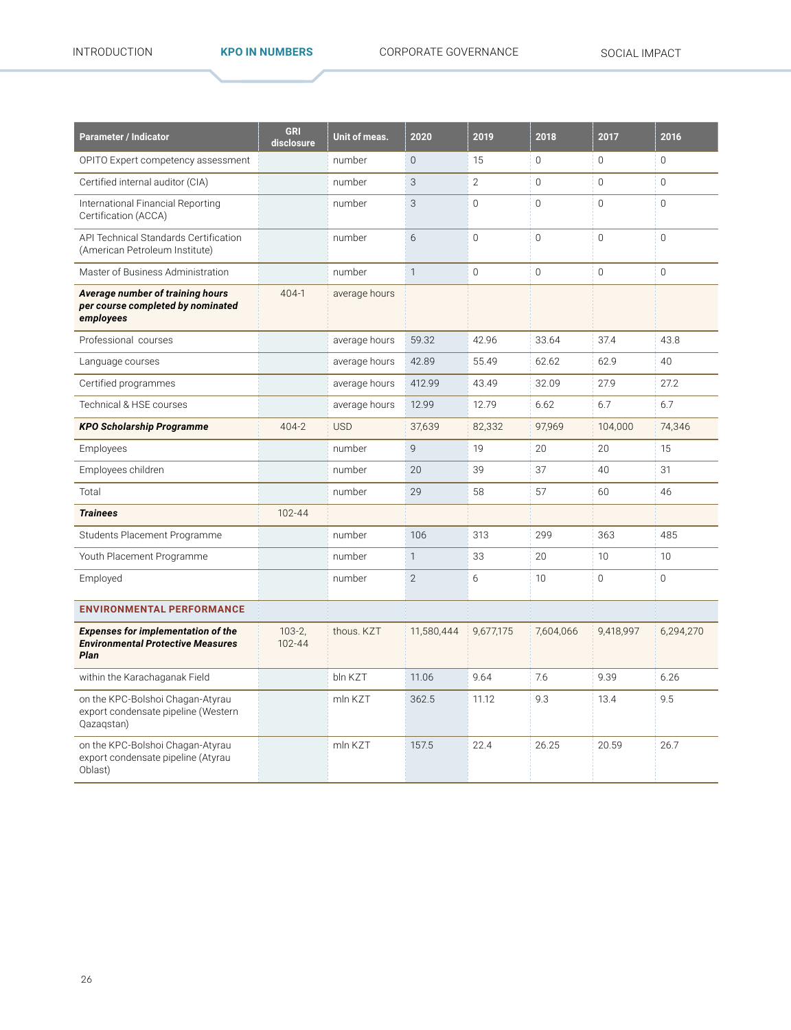| <b>Parameter / Indicator</b>                                                                  | <b>GRI</b><br>disclosure | Unit of meas. | 2020           | 2019         | 2018            | 2017           | 2016           |
|-----------------------------------------------------------------------------------------------|--------------------------|---------------|----------------|--------------|-----------------|----------------|----------------|
| OPITO Expert competency assessment                                                            |                          | number        | $\Omega$       | 15           | $\Omega$        | 0              | $\mathbf{0}$   |
| Certified internal auditor (CIA)                                                              |                          | number        | 3              | $\mathbf{2}$ | $\Omega$        | $\Omega$       | $\mathbf{0}$   |
| International Financial Reporting<br>Certification (ACCA)                                     |                          | number        | 3              | $\Omega$     | $\Omega$        | $\Omega$       | $\Omega$       |
| API Technical Standards Certification<br>(American Petroleum Institute)                       |                          | number        | 6              | $\Omega$     | $\Omega$        | $\Omega$       | $\mathbf 0$    |
| Master of Business Administration                                                             |                          | number        | $\mathbf{1}$   | $\mathbf 0$  | $\overline{0}$  | $\overline{0}$ | $\overline{0}$ |
| Average number of training hours<br>per course completed by nominated<br>employees            | $404-1$                  | average hours |                |              |                 |                |                |
| Professional courses                                                                          |                          | average hours | 59.32          | 42.96        | 33.64           | 37.4           | 43.8           |
| Language courses                                                                              |                          | average hours | 42.89          | 55.49        | 62.62           | 62.9           | 40             |
| Certified programmes                                                                          |                          | average hours | 412.99         | 43.49        | 32.09           | 27.9           | 27.2           |
| Technical & HSE courses                                                                       |                          | average hours | 12.99          | 12.79        | 6.62            | 6.7            | 6.7            |
| <b>KPO Scholarship Programme</b>                                                              | $404 - 2$                | <b>USD</b>    | 37,639         | 82,332       | 97,969          | 104,000        | 74,346         |
| Employees                                                                                     |                          | number        | $\overline{9}$ | 19           | 20              | 20             | 15             |
| Employees children                                                                            |                          | number        | 20             | 39           | 37              | 40             | 31             |
| Total                                                                                         |                          | number        | 29             | 58           | 57              | 60             | 46             |
| <b>Trainees</b>                                                                               | 102-44                   |               |                |              |                 |                |                |
| Students Placement Programme                                                                  |                          | number        | 106            | 313          | 299             | 363            | 485            |
| Youth Placement Programme                                                                     |                          | number        | $\mathbf{1}$   | 33           | 20              | 10             | 10             |
| Employed                                                                                      |                          | number        | $\mathfrak{D}$ | 6            | 10 <sup>1</sup> | $\Omega$       | $\Omega$       |
| <b>ENVIRONMENTAL PERFORMANCE</b>                                                              |                          |               |                |              |                 |                |                |
| <b>Expenses for implementation of the</b><br><b>Environmental Protective Measures</b><br>Plan | $103 - 2$<br>102-44      | thous. KZT    | 11,580,444     | 9,677,175    | 7,604,066       | 9,418,997      | 6,294,270      |
| within the Karachaganak Field                                                                 |                          | bln KZT       | 11.06          | 9.64         | 7.6             | 9.39           | 6.26           |
| on the KPC-Bolshoi Chagan-Atyrau<br>export condensate pipeline (Western<br>Qazaqstan)         |                          | mln KZT       | 362.5          | 11.12        | 9.3             | 13.4           | 9.5            |
| on the KPC-Bolshoi Chagan-Atyrau<br>export condensate pipeline (Atyrau<br>Oblast)             |                          | mln KZT       | 157.5          | 22.4         | 26.25           | 20.59          | 26.7           |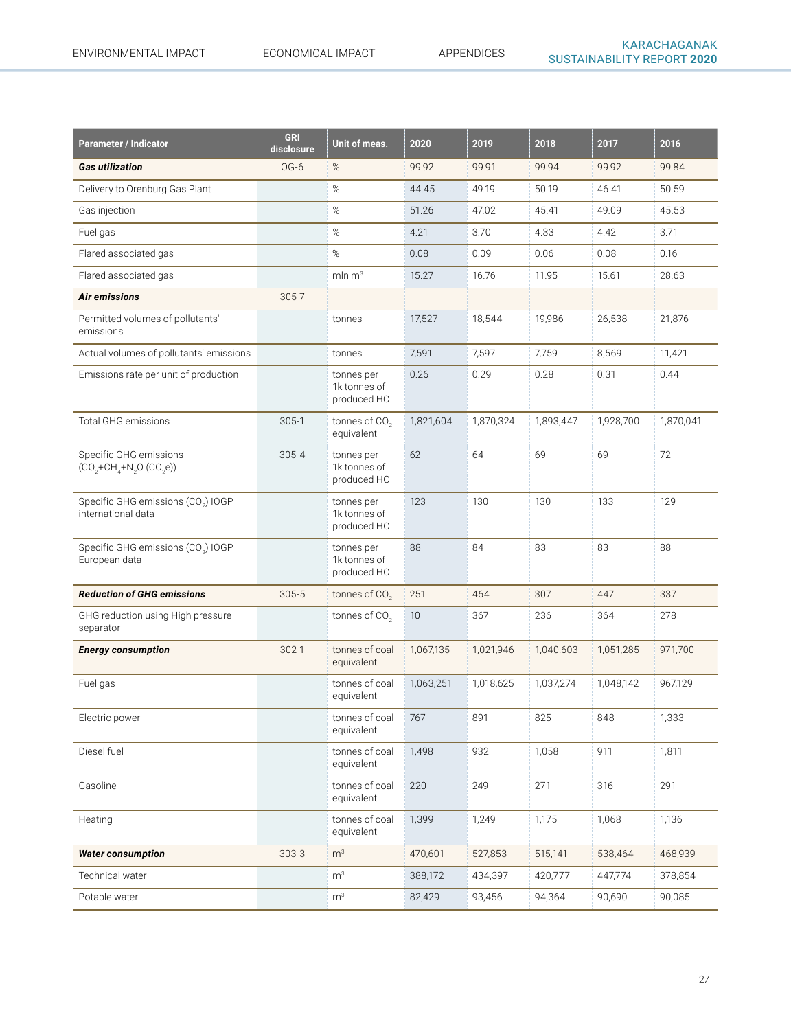| <b>Parameter / Indicator</b>                                         | <b>GRI</b><br>disclosure | Unit of meas.                             | 2020      | 2019      | 2018      | 2017      | 2016      |
|----------------------------------------------------------------------|--------------------------|-------------------------------------------|-----------|-----------|-----------|-----------|-----------|
| <b>Gas utilization</b>                                               | OG-6                     | $\%$                                      | 99.92     | 99.91     | 99.94     | 99.92     | 99.84     |
| Delivery to Orenburg Gas Plant                                       |                          | $\%$                                      | 44.45     | 49.19     | 50.19     | 46.41     | 50.59     |
| Gas injection                                                        |                          | $\%$                                      | 51.26     | 47.02     | 45.41     | 49.09     | 45.53     |
| Fuel gas                                                             |                          | $\%$                                      | 4.21      | 3.70      | 4.33      | 4.42      | 3.71      |
| Flared associated gas                                                |                          | $\%$                                      | 0.08      | 0.09      | 0.06      | 0.08      | 0.16      |
| Flared associated gas                                                |                          | $mln \, m3$                               | 15.27     | 16.76     | 11.95     | 15.61     | 28.63     |
| Air emissions                                                        | $305 - 7$                |                                           |           |           |           |           |           |
| Permitted volumes of pollutants'<br>emissions                        |                          | tonnes                                    | 17,527    | 18,544    | 19,986    | 26,538    | 21,876    |
| Actual volumes of pollutants' emissions                              |                          | tonnes                                    | 7,591     | 7,597     | 7,759     | 8,569     | 11,421    |
| Emissions rate per unit of production                                |                          | tonnes per<br>1k tonnes of<br>produced HC | 0.26      | 0.29      | 0.28      | 0.31      | 0.44      |
| <b>Total GHG emissions</b>                                           | $305-1$                  | tonnes of CO <sub>2</sub><br>equivalent   | 1,821,604 | 1,870,324 | 1,893,447 | 1,928,700 | 1,870,041 |
| Specific GHG emissions<br>$(CO_2 + CH_4 + N_2O(CO_2e))$              | $305 - 4$                | tonnes per<br>1k tonnes of<br>produced HC | 62        | 64        | 69        | 69        | 72        |
| Specific GHG emissions (CO <sub>2</sub> ) IOGP<br>international data |                          | tonnes per<br>1k tonnes of<br>produced HC | 123       | 130       | 130       | 133       | 129       |
| Specific GHG emissions (CO <sub>2</sub> ) IOGP<br>European data      |                          | tonnes per<br>1k tonnes of<br>produced HC | 88        | 84        | 83        | 83        | 88        |
| <b>Reduction of GHG emissions</b>                                    | $305 - 5$                | tonnes of CO <sub>2</sub>                 | 251       | 464       | 307       | 447       | 337       |
| GHG reduction using High pressure<br>separator                       |                          | tonnes of $CO2$                           | 10        | 367       | 236       | 364       | 278       |
| <b>Energy consumption</b>                                            | $302-1$                  | tonnes of coal<br>equivalent              | 1,067,135 | 1,021,946 | 1,040,603 | 1,051,285 | 971,700   |
| Fuel gas                                                             |                          | tonnes of coal<br>equivalent              | 1,063,251 | 1,018,625 | 1,037,274 | 1,048,142 | 967,129   |
| Electric power                                                       |                          | tonnes of coal 767<br>equivalent          |           | 891       | 825       | 848       | 1,333     |
| Diesel fuel                                                          |                          | tonnes of coal<br>equivalent              | 1,498     | 932       | 1,058     | 911       | 1,811     |
| Gasoline                                                             |                          | tonnes of coal<br>equivalent              | 220       | 249       | 271       | 316       | 291       |
| Heating                                                              |                          | tonnes of coal<br>equivalent              | 1,399     | 1,249     | 1,175     | 1,068     | 1,136     |
| <b>Water consumption</b>                                             | $303 - 3$                | m <sup>3</sup>                            | 470,601   | 527,853   | 515,141   | 538,464   | 468,939   |
| Technical water                                                      |                          | m <sup>3</sup>                            | 388,172   | 434,397   | 420,777   | 447,774   | 378,854   |
| Potable water                                                        |                          | m <sup>3</sup>                            | 82,429    | 93,456    | 94,364    | 90,690    | 90,085    |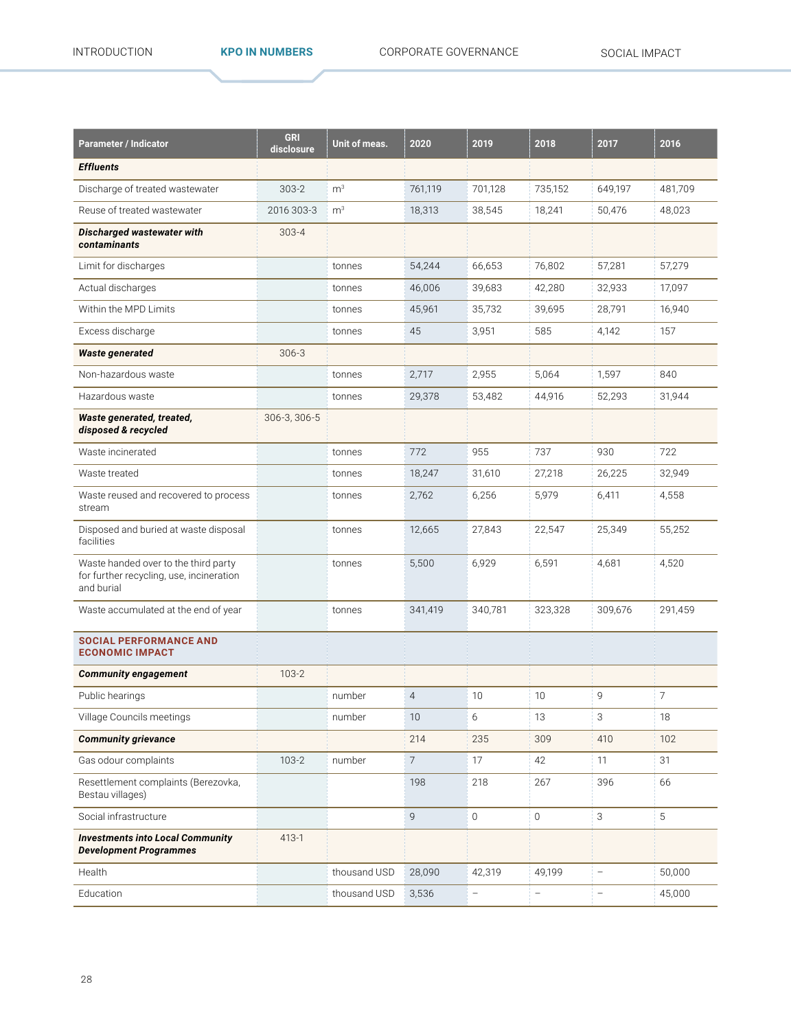| Parameter / Indicator                                                                          | <b>GRI</b><br>disclosure | Unit of meas.  | 2020            | 2019                     | 2018                     | 2017                     | 2016           |
|------------------------------------------------------------------------------------------------|--------------------------|----------------|-----------------|--------------------------|--------------------------|--------------------------|----------------|
| <b>Effluents</b>                                                                               |                          |                |                 |                          |                          |                          |                |
| Discharge of treated wastewater                                                                | $303 - 2$                | m <sup>3</sup> | 761,119         | 701,128                  | 735,152                  | 649,197                  | 481,709        |
| Reuse of treated wastewater                                                                    | 2016 303-3               | m <sup>3</sup> | 18,313          | 38,545                   | 18,241                   | 50,476                   | 48,023         |
| Discharged wastewater with<br>contaminants                                                     | $303 - 4$                |                |                 |                          |                          |                          |                |
| Limit for discharges                                                                           |                          | tonnes         | 54,244          | 66,653                   | 76,802                   | 57,281                   | 57,279         |
| Actual discharges                                                                              |                          | tonnes         | 46,006          | 39,683                   | 42,280                   | 32,933                   | 17,097         |
| Within the MPD Limits                                                                          |                          | tonnes         | 45,961          | 35,732                   | 39,695                   | 28,791                   | 16,940         |
| Excess discharge                                                                               |                          | tonnes         | 45              | 3,951                    | 585                      | 4,142                    | 157            |
| <b>Waste generated</b>                                                                         | $306 - 3$                |                |                 |                          |                          |                          |                |
| Non-hazardous waste                                                                            |                          | tonnes         | 2,717           | 2,955                    | 5,064                    | 1,597                    | 840            |
| Hazardous waste                                                                                |                          | tonnes         | 29,378          | 53,482                   | 44,916                   | 52,293                   | 31,944         |
| Waste generated, treated,<br>disposed & recycled                                               | 306-3, 306-5             |                |                 |                          |                          |                          |                |
| Waste incinerated                                                                              |                          | tonnes         | 772             | 955                      | 737                      | 930                      | 722            |
| Waste treated                                                                                  |                          | tonnes         | 18,247          | 31,610                   | 27,218                   | 26,225                   | 32,949         |
| Waste reused and recovered to process<br>stream                                                |                          | tonnes         | 2,762           | 6,256                    | 5,979                    | 6,411                    | 4,558          |
| Disposed and buried at waste disposal<br>facilities                                            |                          | tonnes         | 12,665          | 27,843                   | 22,547                   | 25,349                   | 55,252         |
| Waste handed over to the third party<br>for further recycling, use, incineration<br>and burial |                          | tonnes         | 5,500           | 6,929                    | 6,591                    | 4,681                    | 4,520          |
| Waste accumulated at the end of year                                                           |                          | tonnes         | 341,419         | 340,781                  | 323,328                  | 309,676                  | 291,459        |
| <b>SOCIAL PERFORMANCE AND</b><br><b>ECONOMIC IMPACT</b>                                        |                          |                |                 |                          |                          |                          |                |
| <b>Community engagement</b>                                                                    | $103 - 2$                |                |                 |                          |                          |                          |                |
| Public hearings                                                                                |                          | number         | $\overline{4}$  | 10                       | 10                       | 9                        | $\overline{7}$ |
| Village Councils meetings                                                                      |                          | number         | $10$            | 6                        | 13                       | 3                        | 18             |
| <b>Community grievance</b>                                                                     |                          |                | 214             | 235                      | 309                      | 410                      | 102            |
| Gas odour complaints                                                                           | $103 - 2$                | number         | $7\overline{ }$ | 17                       | 42                       | 11                       | 31             |
| Resettlement complaints (Berezovka,<br>Bestau villages)                                        |                          |                | 198             | 218                      | 267                      | 396                      | 66             |
| Social infrastructure                                                                          |                          |                | $\overline{9}$  | $\mathbf 0$              | $\overline{0}$           | 3                        | $5\,$          |
| <b>Investments into Local Community</b><br><b>Development Programmes</b>                       | $413-1$                  |                |                 |                          |                          |                          |                |
| Health                                                                                         |                          | thousand USD   | 28,090          | 42,319                   | 49,199                   | $\overline{\phantom{a}}$ | 50,000         |
| Education                                                                                      |                          | thousand USD   | 3,536           | $\overline{\phantom{a}}$ | $\overline{\phantom{0}}$ | $\qquad \qquad -$        | 45,000         |